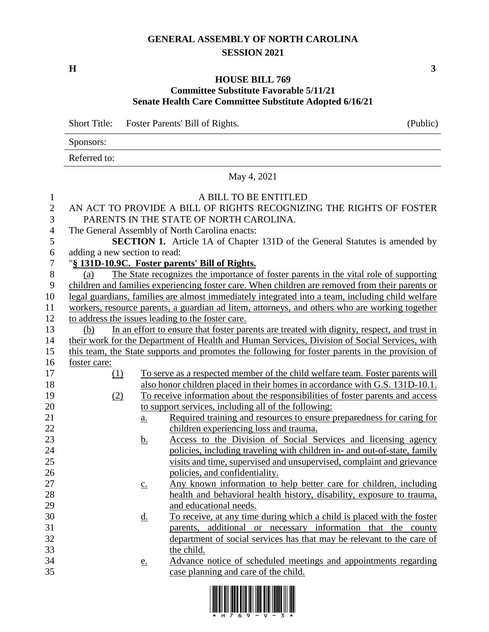## **GENERAL ASSEMBLY OF NORTH CAROLINA SESSION 2021**

**H 3**

## **HOUSE BILL 769 Committee Substitute Favorable 5/11/21 Senate Health Care Committee Substitute Adopted 6/16/21**

Short Title: Foster Parents' Bill of Rights. (Public) Sponsors: Referred to:

May 4, 2021

## A BILL TO BE ENTITLED AN ACT TO PROVIDE A BILL OF RIGHTS RECOGNIZING THE RIGHTS OF FOSTER PARENTS IN THE STATE OF NORTH CAROLINA. The General Assembly of North Carolina enacts: **SECTION 1.** Article 1A of Chapter 131D of the General Statutes is amended by adding a new section to read: "**§ 131D-10.9C. Foster parents' Bill of Rights.** (a) The State recognizes the importance of foster parents in the vital role of supporting children and families experiencing foster care. When children are removed from their parents or legal guardians, families are almost immediately integrated into a team, including child welfare workers, resource parents, a guardian ad litem, attorneys, and others who are working together to address the issues leading to the foster care. (b) In an effort to ensure that foster parents are treated with dignity, respect, and trust in their work for the Department of Health and Human Services, Division of Social Services, with this team, the State supports and promotes the following for foster parents in the provision of foster care: (1) To serve as a respected member of the child welfare team. Foster parents will also honor children placed in their homes in accordance with G.S. 131D-10.1. (2) To receive information about the responsibilities of foster parents and access to support services, including all of the following: 21 a. Required training and resources to ensure preparedness for caring for children experiencing loss and trauma. b. Access to the Division of Social Services and licensing agency policies, including traveling with children in- and out-of-state, family visits and time, supervised and unsupervised, complaint and grievance 26 policies, and confidentiality. 27 c. Any known information to help better care for children, including health and behavioral health history, disability, exposure to trauma, and educational needs. 30 d. To receive, at any time during which a child is placed with the foster parents, additional or necessary information that the county department of social services has that may be relevant to the care of the child. e. Advance notice of scheduled meetings and appointments regarding case planning and care of the child.

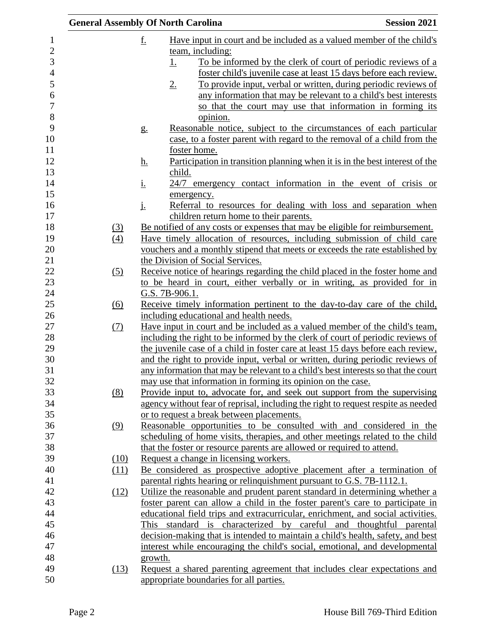|                |      |           | <b>General Assembly Of North Carolina</b>                                          | <b>Session 2021</b> |
|----------------|------|-----------|------------------------------------------------------------------------------------|---------------------|
| 1              |      | <u>f.</u> | Have input in court and be included as a valued member of the child's              |                     |
| $\overline{c}$ |      |           | team, including:                                                                   |                     |
| 3              |      |           | To be informed by the clerk of court of periodic reviews of a<br><u>1.</u>         |                     |
| $\overline{4}$ |      |           | foster child's juvenile case at least 15 days before each review.                  |                     |
|                |      |           | To provide input, verbal or written, during periodic reviews of<br>2.              |                     |
|                |      |           | any information that may be relevant to a child's best interests                   |                     |
|                |      |           | so that the court may use that information in forming its                          |                     |
|                |      |           | opinion.                                                                           |                     |
|                |      | g.        | Reasonable notice, subject to the circumstances of each particular                 |                     |
|                |      |           | case, to a foster parent with regard to the removal of a child from the            |                     |
|                |      |           | foster home.                                                                       |                     |
|                |      | <u>h.</u> | Participation in transition planning when it is in the best interest of the        |                     |
|                |      |           | child.                                                                             |                     |
|                |      | <u>i.</u> | 24/7 emergency contact information in the event of crisis or                       |                     |
|                |      |           | emergency.                                                                         |                     |
|                |      | j.        | Referral to resources for dealing with loss and separation when                    |                     |
|                |      |           | children return home to their parents.                                             |                     |
|                | (3)  |           | Be notified of any costs or expenses that may be eligible for reimbursement.       |                     |
|                | (4)  |           | Have timely allocation of resources, including submission of child care            |                     |
|                |      |           | vouchers and a monthly stipend that meets or exceeds the rate established by       |                     |
|                |      |           | the Division of Social Services.                                                   |                     |
|                | (5)  |           | Receive notice of hearings regarding the child placed in the foster home and       |                     |
|                |      |           | to be heard in court, either verbally or in writing, as provided for in            |                     |
|                |      |           | G.S. 7B-906.1.                                                                     |                     |
|                | (6)  |           | Receive timely information pertinent to the day-to-day care of the child,          |                     |
|                |      |           | including educational and health needs.                                            |                     |
|                | (7)  |           | Have input in court and be included as a valued member of the child's team,        |                     |
|                |      |           | including the right to be informed by the clerk of court of periodic reviews of    |                     |
|                |      |           | the juvenile case of a child in foster care at least 15 days before each review,   |                     |
|                |      |           | and the right to provide input, verbal or written, during periodic reviews of      |                     |
|                |      |           | any information that may be relevant to a child's best interests so that the court |                     |
|                |      |           | may use that information in forming its opinion on the case.                       |                     |
|                | (8)  |           | Provide input to, advocate for, and seek out support from the supervising          |                     |
|                |      |           | agency without fear of reprisal, including the right to request respite as needed  |                     |
|                |      |           | or to request a break between placements.                                          |                     |
|                | (9)  |           | Reasonable opportunities to be consulted with and considered in the                |                     |
|                |      |           | scheduling of home visits, therapies, and other meetings related to the child      |                     |
|                |      |           | that the foster or resource parents are allowed or required to attend.             |                     |
|                | (10) |           | Request a change in licensing workers.                                             |                     |
|                | (11) |           | Be considered as prospective adoptive placement after a termination of             |                     |
|                |      |           | parental rights hearing or relinquishment pursuant to G.S. 7B-1112.1.              |                     |
|                | (12) |           | Utilize the reasonable and prudent parent standard in determining whether a        |                     |
|                |      |           | foster parent can allow a child in the foster parent's care to participate in      |                     |
|                |      |           | educational field trips and extracurricular, enrichment, and social activities.    |                     |
|                |      |           | This standard is characterized by careful and thoughtful parental                  |                     |
|                |      |           | decision-making that is intended to maintain a child's health, safety, and best    |                     |
|                |      |           | interest while encouraging the child's social, emotional, and developmental        |                     |
|                |      | growth.   |                                                                                    |                     |
|                | (13) |           | Request a shared parenting agreement that includes clear expectations and          |                     |
|                |      |           | appropriate boundaries for all parties.                                            |                     |